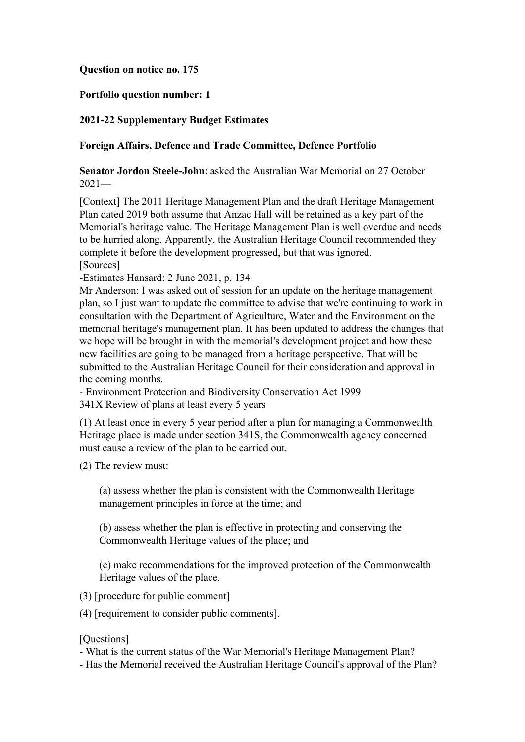# **Question on notice no. 175**

# **Portfolio question number: 1**

## **2021-22 Supplementary Budget Estimates**

## **Foreign Affairs, Defence and Trade Committee, Defence Portfolio**

**Senator Jordon Steele-John**: asked the Australian War Memorial on 27 October 2021—

[Context] The 2011 Heritage Management Plan and the draft Heritage Management Plan dated 2019 both assume that Anzac Hall will be retained as a key part of the Memorial's heritage value. The Heritage Management Plan is well overdue and needs to be hurried along. Apparently, the Australian Heritage Council recommended they complete it before the development progressed, but that was ignored. [Sources]

-Estimates Hansard: 2 June 2021, p. 134

Mr Anderson: I was asked out of session for an update on the heritage management plan, so I just want to update the committee to advise that we're continuing to work in consultation with the Department of Agriculture, Water and the Environment on the memorial heritage's management plan. It has been updated to address the changes that we hope will be brought in with the memorial's development project and how these new facilities are going to be managed from a heritage perspective. That will be submitted to the Australian Heritage Council for their consideration and approval in the coming months.

- Environment Protection and Biodiversity Conservation Act 1999 341X Review of plans at least every 5 years

(1) At least once in every 5 year period after a plan for managing a Commonwealth Heritage place is made under section 341S, the Commonwealth agency concerned must cause a review of the plan to be carried out.

(2) The review must:

(a) assess whether the plan is consistent with the Commonwealth Heritage management principles in force at the time; and

(b) assess whether the plan is effective in protecting and conserving the Commonwealth Heritage values of the place; and

(c) make recommendations for the improved protection of the Commonwealth Heritage values of the place.

(3) [procedure for public comment]

(4) [requirement to consider public comments].

#### [Questions]

- What is the current status of the War Memorial's Heritage Management Plan?

- Has the Memorial received the Australian Heritage Council's approval of the Plan?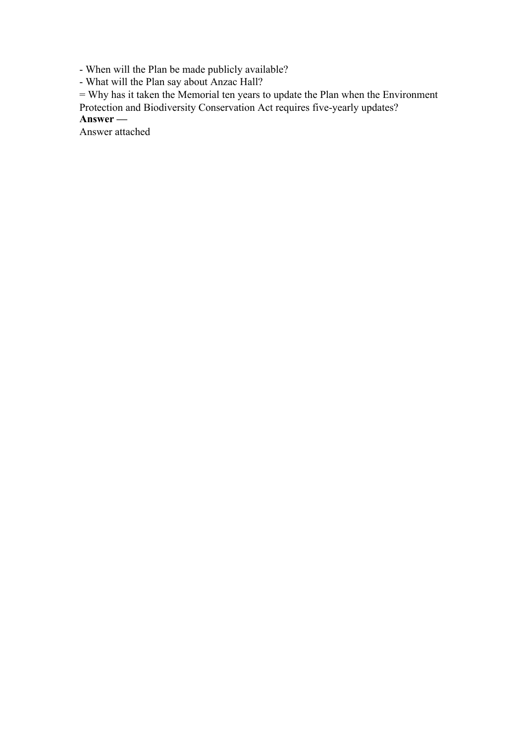- When will the Plan be made publicly available?

- What will the Plan say about Anzac Hall?

= Why has it taken the Memorial ten years to update the Plan when the Environment

Protection and Biodiversity Conservation Act requires five-yearly updates?

**Answer —**

Answer attached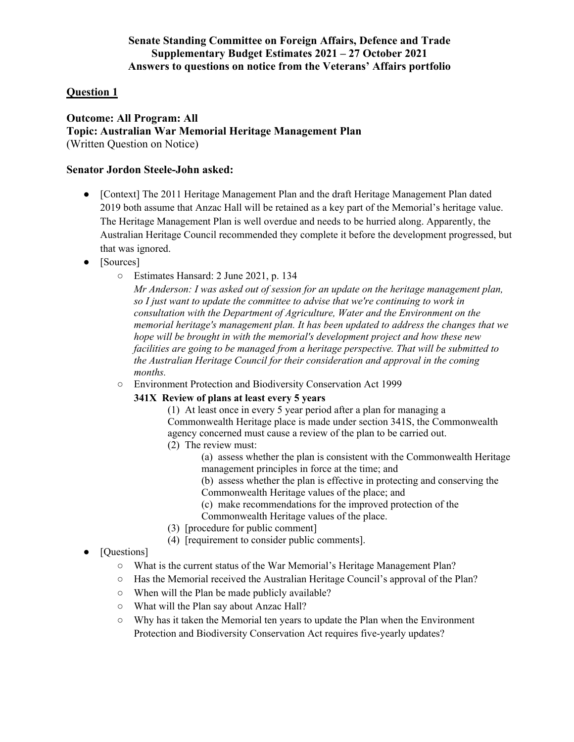# **Senate Standing Committee on Foreign Affairs, Defence and Trade Supplementary Budget Estimates 2021 – 27 October 2021 Answers to questions on notice from the Veterans' Affairs portfolio**

# **Question 1**

## **Outcome: All Program: All Topic: Australian War Memorial Heritage Management Plan** (Written Question on Notice)

#### **Senator Jordon Steele-John asked:**

- [Context] The 2011 Heritage Management Plan and the draft Heritage Management Plan dated 2019 both assume that Anzac Hall will be retained as a key part of the Memorial's heritage value. The Heritage Management Plan is well overdue and needs to be hurried along. Apparently, the Australian Heritage Council recommended they complete it before the development progressed, but that was ignored.
- [Sources]
	- Estimates Hansard: 2 June 2021, p. 134

*Mr Anderson: I was asked out of session for an update on the heritage management plan, so I just want to update the committee to advise that we're continuing to work in consultation with the Department of Agriculture, Water and the Environment on the memorial heritage's management plan. It has been updated to address the changes that we hope will be brought in with the memorial's development project and how these new facilities are going to be managed from a heritage perspective. That will be submitted to the Australian Heritage Council for their consideration and approval in the coming months.* 

○ Environment Protection and Biodiversity Conservation Act 1999

### **341X Review of plans at least every 5 years**

(1) At least once in every 5 year period after a plan for managing a Commonwealth Heritage place is made under section 341S, the Commonwealth agency concerned must cause a review of the plan to be carried out. (2) The review must:

- - (a) assess whether the plan is consistent with the Commonwealth Heritage management principles in force at the time; and
	- (b) assess whether the plan is effective in protecting and conserving the
	- Commonwealth Heritage values of the place; and
	- (c) make recommendations for the improved protection of the Commonwealth Heritage values of the place.
- (3) [procedure for public comment]
- (4) [requirement to consider public comments].
- [Questions]
	- What is the current status of the War Memorial's Heritage Management Plan?
	- Has the Memorial received the Australian Heritage Council's approval of the Plan?
	- When will the Plan be made publicly available?
	- What will the Plan say about Anzac Hall?
	- Why has it taken the Memorial ten years to update the Plan when the Environment Protection and Biodiversity Conservation Act requires five-yearly updates?